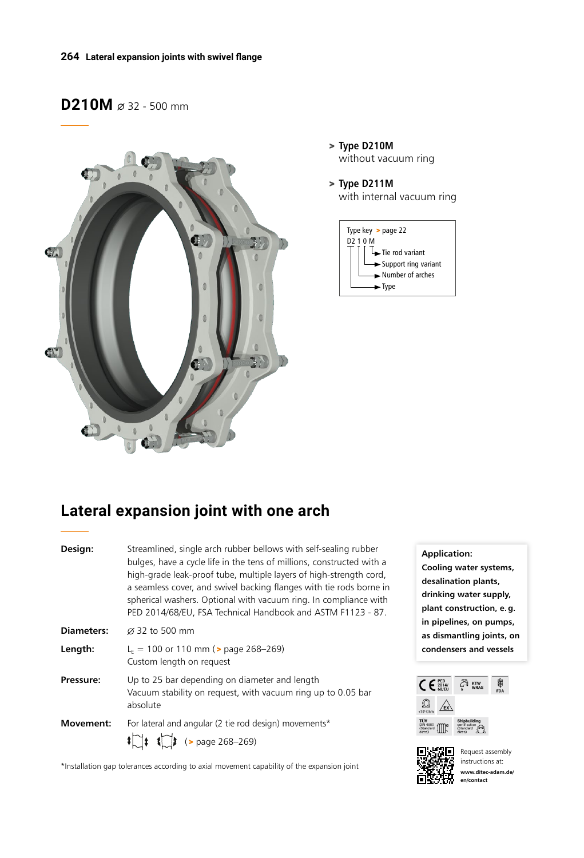# D210M  $\varnothing$  32 - 500 mm



- > **Type D210M** without vacuum ring
- > **Type D211M** with internal vacuum ring



# **Lateral expansion joint with one arch**

| Design:           | Streamlined, single arch rubber bellows with self-sealing rubber<br>bulges, have a cycle life in the tens of millions, constructed with a<br>high-grade leak-proof tube, multiple layers of high-strength cord,<br>a seamless cover, and swivel backing flanges with tie rods borne in<br>spherical washers. Optional with vacuum ring. In compliance with<br>PED 2014/68/EU, FSA Technical Handbook and ASTM F1123 - 87. |
|-------------------|---------------------------------------------------------------------------------------------------------------------------------------------------------------------------------------------------------------------------------------------------------------------------------------------------------------------------------------------------------------------------------------------------------------------------|
| <b>Diameters:</b> | $\varnothing$ 32 to 500 mm                                                                                                                                                                                                                                                                                                                                                                                                |
| Length:           | $L_F$ = 100 or 110 mm ( $>$ page 268-269)<br>Custom length on request                                                                                                                                                                                                                                                                                                                                                     |
| Pressure:         | Up to 25 bar depending on diameter and length<br>Vacuum stability on request, with vacuum ring up to 0.05 bar<br>absolute                                                                                                                                                                                                                                                                                                 |
| <b>Movement:</b>  | For lateral and angular (2 tie rod design) movements*                                                                                                                                                                                                                                                                                                                                                                     |
|                   | $\begin{bmatrix} 1 \\ 1 \end{bmatrix}$ $\begin{bmatrix} 1 \\ 1 \end{bmatrix}$ (> page 268-269)                                                                                                                                                                                                                                                                                                                            |

\*Installation gap tolerances according to axial movement capability of the expansion joint

**Application:** 

**Cooling water systems, desalination plants, drinking water supply, plant construction, e.g. in pipelines, on pumps, as dismantling joints, on condensers and vessels**





Request assembly instructions at: **www.ditec-adam.de/ en/contact**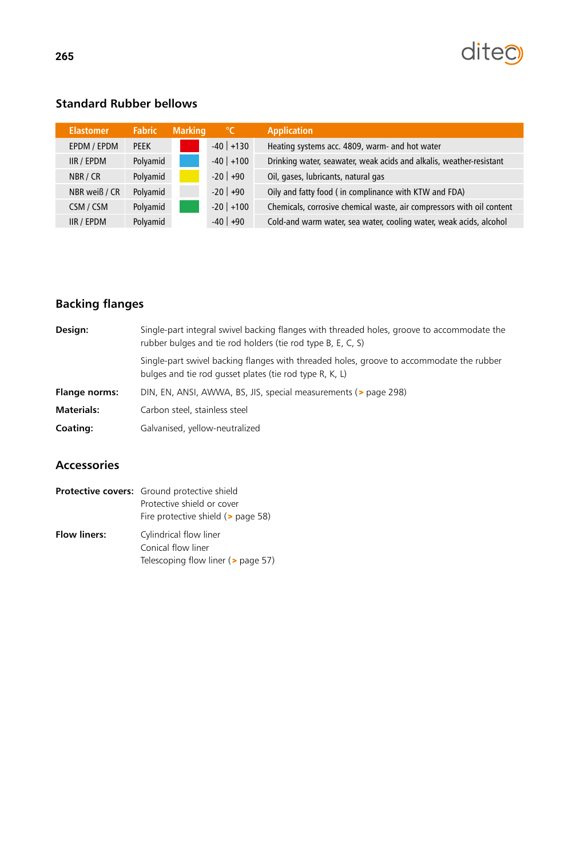

## **Standard Rubber bellows**

| <b>Elastomer</b>  | <b>Fabric</b> | <b>Marking</b> | $\sqrt{\ }$ | <b>Application</b>                                                    |
|-------------------|---------------|----------------|-------------|-----------------------------------------------------------------------|
| EPDM / EPDM       | <b>PFFK</b>   |                | $-40$ +130  | Heating systems acc. 4809, warm- and hot water                        |
| <b>IIR / EPDM</b> | Polyamid      |                | $-40$ +100  | Drinking water, seawater, weak acids and alkalis, weather-resistant   |
| NBR / CR          | Polyamid      |                | $-20$ +90   | Oil, gases, lubricants, natural gas                                   |
| NBR weiß / CR     | Polyamid      |                | $-20$ +90   | Oily and fatty food (in complinance with KTW and FDA)                 |
| CSM / CSM         | Polyamid      |                | $-20$ +100  | Chemicals, corrosive chemical waste, air compressors with oil content |
| IIR / EPDM        | Polyamid      |                | $-40$ +90   | Cold-and warm water, sea water, cooling water, weak acids, alcohol    |

### **Backing flanges**

| Design:              | Single-part integral swivel backing flanges with threaded holes, groove to accommodate the<br>rubber bulges and tie rod holders (tie rod type B, E, C, S) |
|----------------------|-----------------------------------------------------------------------------------------------------------------------------------------------------------|
|                      | Single-part swivel backing flanges with threaded holes, groove to accommodate the rubber<br>bulges and tie rod gusset plates (tie rod type R, K, L)       |
| <b>Flange norms:</b> | DIN, EN, ANSI, AWWA, BS, JIS, special measurements (> page 298)                                                                                           |
| <b>Materials:</b>    | Carbon steel, stainless steel                                                                                                                             |
| Coating:             | Galvanised, yellow-neutralized                                                                                                                            |
|                      |                                                                                                                                                           |

### **Accessories**

|                     | <b>Protective covers:</b> Ground protective shield |  |  |  |
|---------------------|----------------------------------------------------|--|--|--|
|                     | Protective shield or cover                         |  |  |  |
|                     | Fire protective shield (> page 58)                 |  |  |  |
| <b>Flow liners:</b> | Cylindrical flow liner                             |  |  |  |
|                     | Conical flow liner                                 |  |  |  |
|                     | Telescoping flow liner ( $\geq$ page 57)           |  |  |  |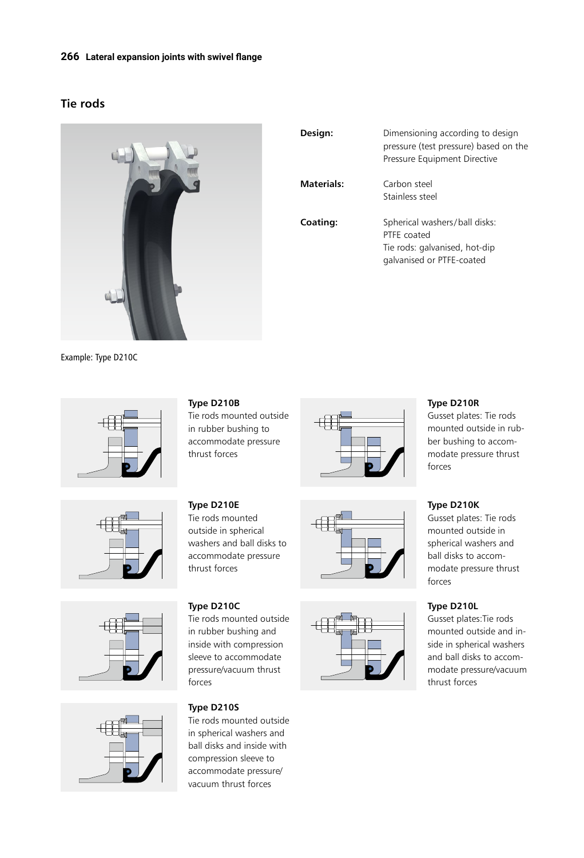#### **266 Lateral expansion joints with swivel flange**

### **Tie rods**



| Design:    | Dimensioning according to design<br>pressure (test pressure) based on the<br>Pressure Equipment Directive  |
|------------|------------------------------------------------------------------------------------------------------------|
| Materials: | Carbon steel<br>Stainless steel                                                                            |
| Coating:   | Spherical washers/ball disks:<br>PTFF coated<br>Tie rods: galvanised, hot-dip<br>galvanised or PTFE-coated |

Example: Type D210C









**Type D210B**

Tie rods mounted outside in rubber bushing to accommodate pressure thrust forces

**Type D210E** Tie rods mounted outside in spherical washers and ball disks to accommodate pressure thrust forces

## **Type D210C** Tie rods mounted outside

in rubber bushing and inside with compression sleeve to accommodate pressure/vacuum thrust forces

#### **Type D210S**

Tie rods mounted outside in spherical washers and ball disks and inside with compression sleeve to accommodate pressure/ vacuum thrust forces







#### **Type D210R**

Gusset plates: Tie rods mounted outside in rubber bushing to accommodate pressure thrust forces

#### **Type D210K**

Gusset plates: Tie rods mounted outside in spherical washers and ball disks to accommodate pressure thrust forces

#### **Type D210L**

Gusset plates:Tie rods mounted outside and inside in spherical washers and ball disks to accommodate pressure/vacuum thrust forces

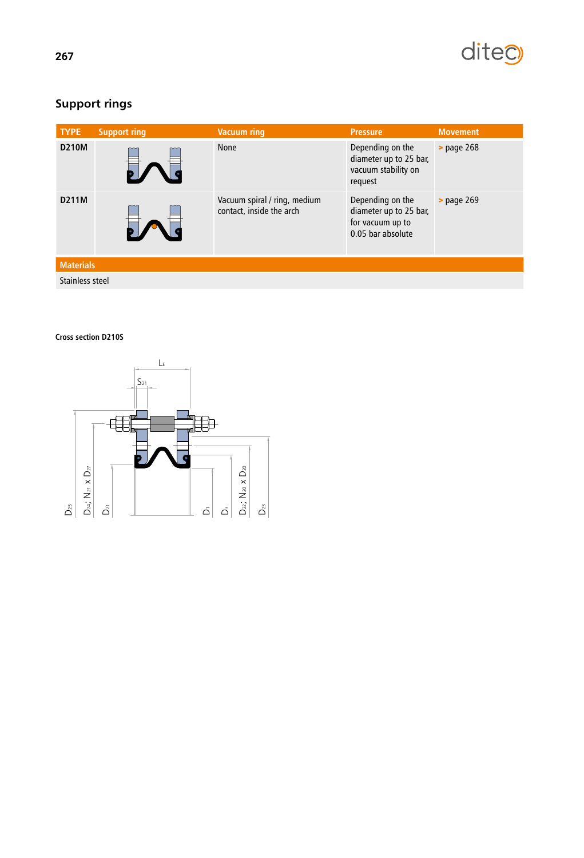

# **Support rings**

| <b>TYPE</b>      | <b>Support ring</b> | <b>Vacuum ring</b>                                       | <b>Pressure</b>                                                                     | <b>Movement</b>      |
|------------------|---------------------|----------------------------------------------------------|-------------------------------------------------------------------------------------|----------------------|
| <b>D210M</b>     |                     | <b>None</b>                                              | Depending on the<br>diameter up to 25 bar,<br>vacuum stability on<br>request        | <b>&gt;</b> page 268 |
| D211M            |                     | Vacuum spiral / ring, medium<br>contact, inside the arch | Depending on the<br>diameter up to 25 bar,<br>for vacuum up to<br>0.05 bar absolute | <b>&gt;</b> page 269 |
| <b>Materials</b> |                     |                                                          |                                                                                     |                      |
| Stainless steel  |                     |                                                          |                                                                                     |                      |

#### **Cross section D210S**

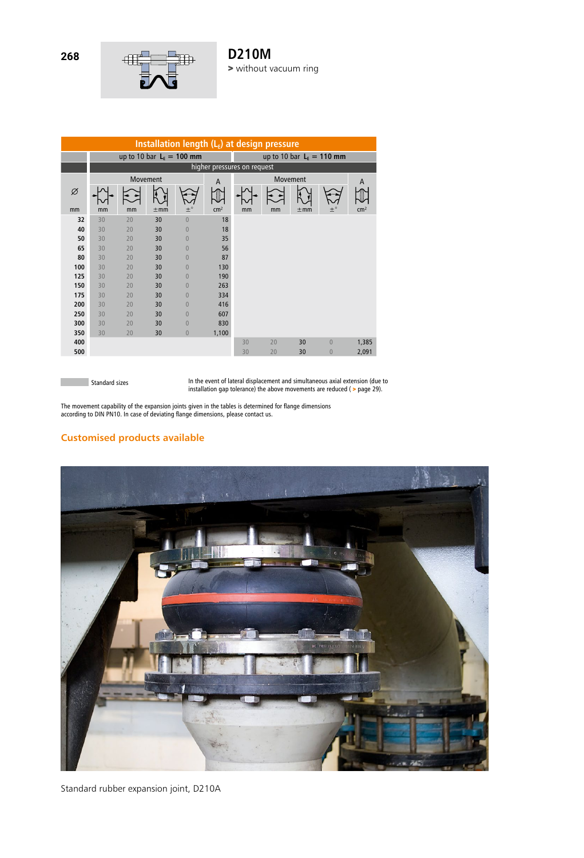

| Installation length $(L_F)$ at design pressure |                             |          |          |                |                 |                            |    |          |                |                 |
|------------------------------------------------|-----------------------------|----------|----------|----------------|-----------------|----------------------------|----|----------|----------------|-----------------|
|                                                | up to 10 bar $L_F = 100$ mm |          |          |                |                 | up to 10 bar $LE = 110$ mm |    |          |                |                 |
|                                                | higher pressures on request |          |          |                |                 |                            |    |          |                |                 |
|                                                |                             | Movement |          |                | A               | Movement<br>A              |    |          |                |                 |
| Ø                                              |                             |          |          |                |                 |                            |    |          |                |                 |
| mm                                             | mm                          | mm       | $\pm$ mm | $\pm^{\circ}$  | cm <sup>2</sup> | mm                         | mm | $\pm$ mm | $+^{\circ}$    | cm <sup>2</sup> |
| 32                                             | 30                          | 20       | 30       | $\overline{0}$ | 18              |                            |    |          |                |                 |
| 40                                             | 30                          | 20       | 30       | $\overline{0}$ | 18              |                            |    |          |                |                 |
| 50                                             | 30                          | 20       | 30       | $\overline{0}$ | 35              |                            |    |          |                |                 |
| 65                                             | 30                          | 20       | 30       | $\Omega$       | 56              |                            |    |          |                |                 |
| 80                                             | 30                          | 20       | 30       | $\Omega$       | 87              |                            |    |          |                |                 |
| 100                                            | 30                          | 20       | 30       | $\overline{0}$ | 130             |                            |    |          |                |                 |
| 125                                            | 30                          | 20       | 30       | $\overline{0}$ | 190             |                            |    |          |                |                 |
| 150                                            | 30                          | 20       | 30       | $\overline{0}$ | 263             |                            |    |          |                |                 |
| 175                                            | 30                          | 20       | 30       | $\overline{0}$ | 334             |                            |    |          |                |                 |
| 200                                            | 30                          | 20       | 30       | $\overline{0}$ | 416             |                            |    |          |                |                 |
| 250                                            | 30                          | 20       | 30       | $\overline{0}$ | 607             |                            |    |          |                |                 |
| 300                                            | 30                          | 20       | 30       | $\overline{0}$ | 830             |                            |    |          |                |                 |
| 350                                            | 30                          | 20       | 30       | $\overline{0}$ | 1,100           |                            |    |          |                |                 |
| 400                                            |                             |          |          |                |                 | 30                         | 20 | 30       | $\overline{0}$ | 1,385           |
| 500                                            |                             |          |          |                |                 | 30                         | 20 | 30       | $\overline{0}$ | 2,091           |

**Standard sizes** 

п

In the event of lateral displacement and simultaneous axial extension (due to installation gap tolerance) the above movements are reduced ( > page 29).

The movement capability of the expansion joints given in the tables is determined for flange dimensions according to DIN PN10. In case of deviating flange dimensions, please contact us.

#### **Customised products available**



Standard rubber expansion joint, D210A

**268**